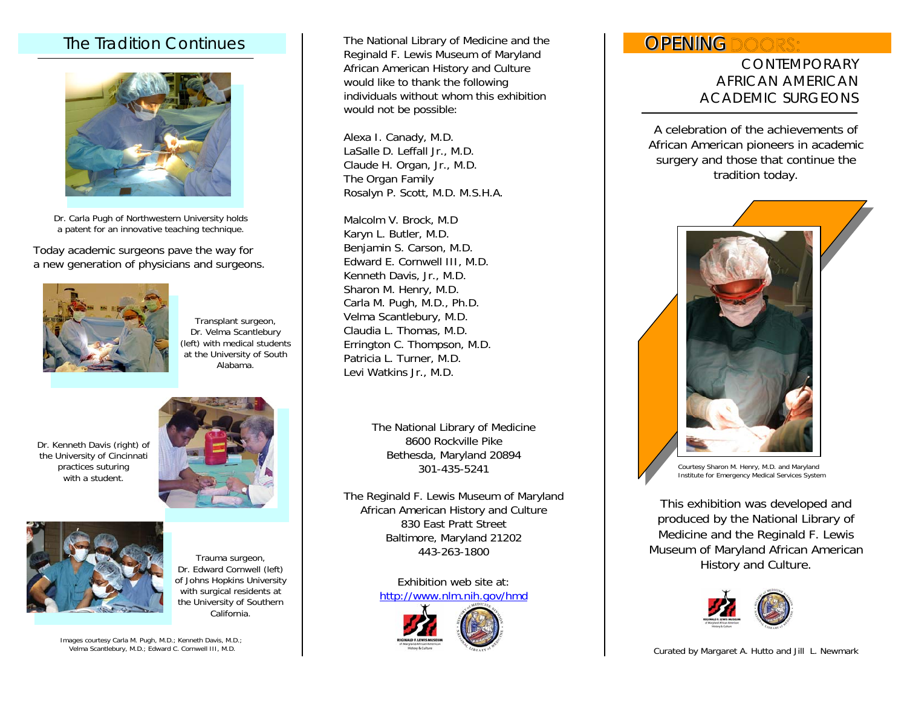## The Tradition Continues



Dr. Carla Pugh of Northwestern University holds a patent for an innovative teaching technique.

Today academic surgeons pave the way for a new generation of physicians and surgeons.



Transplant surgeon, Dr. Velma Scantlebury (left) with medical students at the University of South Alabama.

Dr. Kenneth Davis (right) of the University of Cincinnati practices suturing with a student.





Trauma surgeon, Dr. Edward Cornwell (left) of Johns Hopkins University with surgical residents at the University of Southern California.

Images courtesy Carla M. Pugh, M.D.; Kenneth Davis, M.D.; Velma Scantlebury, M.D.; Edward C. Cornwell III, M.D.

The National Library of Medicine and the Reginald F. Lewis Museum of Maryland African American History and Culture would like to thank the following individuals without whom this exhibition would not be possible:

Alexa I. Canady, M.D. LaSalle D. Leffall Jr., M.D. Claude H. Organ, Jr., M.D. The Organ Family Rosalyn P. Scott, M.D. M.S.H.A.

Malcolm V. Brock, M.D Karyn L. Butler, M.D. Benjamin S. Carson, M.D. Edward E. Cornwell III, M.D. Kenneth Davis, Jr., M.D. Sharon M. Henry, M.D. Carla M. Pugh, M.D., Ph.D. Velma Scantlebury, M.D. Claudia L. Thomas, M.D. Errington C. Thompson, M.D. Patricia L. Turner, M.D. Levi Watkins Jr., M.D.

> The National Library of Medicine 8600 Rockville Pike Bethesda, Maryland 20894 301-435-5241

The Reginald F. Lewis Museum of Maryland African American History and Culture 830 East Pratt Street Baltimore, Maryland 21202 443-263-1800

> Exhibition web site at: <http://www.nlm.nih.gov/hmd>



# OPENINGDOORS:

 CONTEMPORARY AFRICAN AMERICAN ACADEMIC SURGEONS

A celebration of the achievements of African American pioneers in academic surgery and those that continue the tradition today.



Courtesy Sharon M. Henry, M.D. and Maryland Institute for Emergency Medical Services System

This exhibition was developed and produced by the National Library of Medicine and the Reginald F. Lewis Museum of Maryland African American History and Culture.